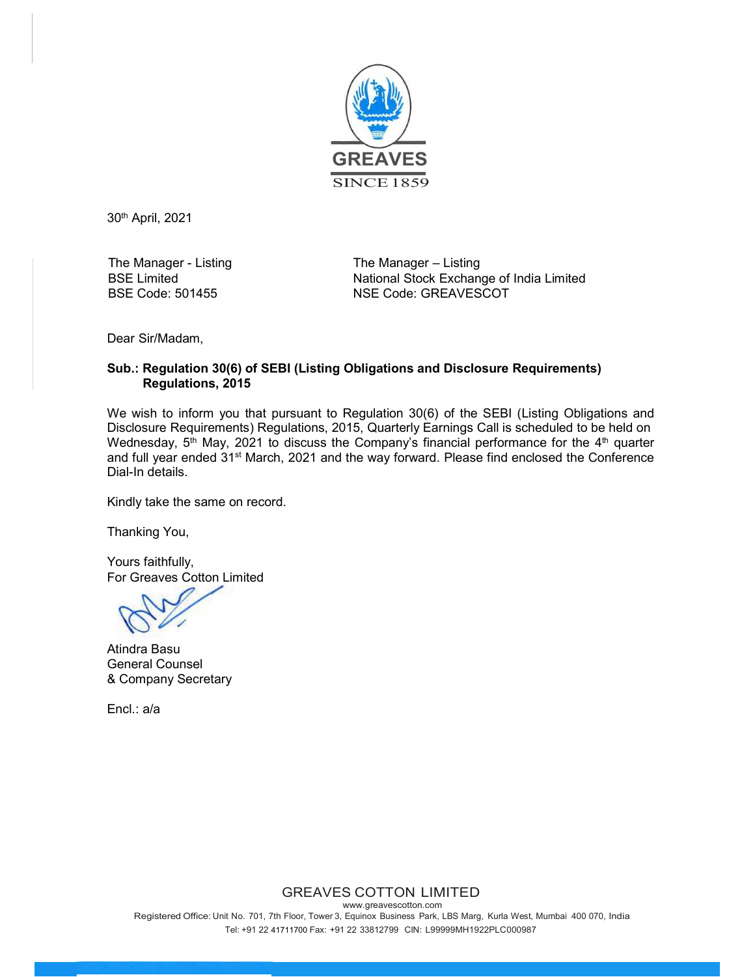

30th April, 2021

The Manager - Listing BSE Limited BSE Code: 501455

The Manager – Listing National Stock Exchange of India Limited NSE Code: GREAVESCOT

Dear Sir/Madam,

## Sub.: Regulation 30(6) of SEBI (Listing Obligations and Disclosure Requirements) Regulations, 2015

We wish to inform you that pursuant to Regulation 30(6) of the SEBI (Listing Obligations and Disclosure Requirements) Regulations, 2015, Quarterly Earnings Call is scheduled to be held on Wednesday,  $5<sup>th</sup>$  May, 2021 to discuss the Company's financial performance for the  $4<sup>th</sup>$  quarter and full year ended 31<sup>st</sup> March, 2021 and the way forward. Please find enclosed the Conference Dial-In details.

Kindly take the same on record.

Thanking You,

Yours faithfully, For Greaves Cotton Limited

Atindra Basu General Counsel & Company Secretary

Encl.: a/a

GREAVES COTTON LIMITED

www.greavescotton.com Registered Office: Unit No. 701, 7th Floor, Tower 3, Equinox Business Park, LBS Marg, Kurla West, Mumbai 400 070, India Tel: +91 22 41711700 Fax: +91 22 33812799 CIN: L99999MH1922PLC000987